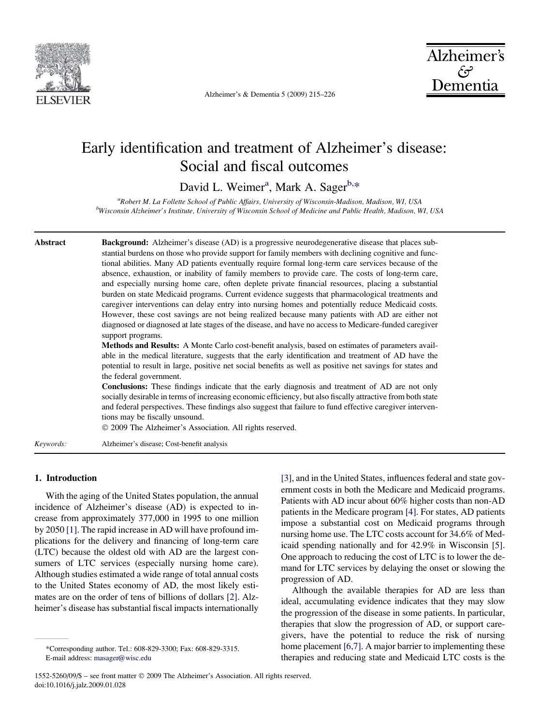<span id="page-0-0"></span>

Alzheimer's & Dementia 5 (2009) 215–226



# Early identification and treatment of Alzheimer's disease: Social and fiscal outcomes

David L. Weimer<sup>a</sup>, Mark A. Sager<sup>b,\*</sup>

<sup>a</sup>Robert M. La Follette School of Public Affairs, University of Wisconsin-Madison, Madison, WI, USA b<br>Wisconsin Alzheimer's Institute, University of Wisconsin School of Medicine and Public Health, Madison, WI, USA

Abstract Background: Alzheimer's disease (AD) is a progressive neurodegenerative disease that places substantial burdens on those who provide support for family members with declining cognitive and functional abilities. Many AD patients eventually require formal long-term care services because of the absence, exhaustion, or inability of family members to provide care. The costs of long-term care, and especially nursing home care, often deplete private financial resources, placing a substantial burden on state Medicaid programs. Current evidence suggests that pharmacological treatments and caregiver interventions can delay entry into nursing homes and potentially reduce Medicaid costs. However, these cost savings are not being realized because many patients with AD are either not diagnosed or diagnosed at late stages of the disease, and have no access to Medicare-funded caregiver support programs. Methods and Results: A Monte Carlo cost-benefit analysis, based on estimates of parameters available in the medical literature, suggests that the early identification and treatment of AD have the

potential to result in large, positive net social benefits as well as positive net savings for states and the federal government.

Conclusions: These findings indicate that the early diagnosis and treatment of AD are not only socially desirable in terms of increasing economic efficiency, but also fiscally attractive from both state and federal perspectives. These findings also suggest that failure to fund effective caregiver interventions may be fiscally unsound.

 $©$  2009 The Alzheimer's Association. All rights reserved.

Keywords: Alzheimer's disease; Cost-benefit analysis

# 1. Introduction

With the aging of the United States population, the annual incidence of Alzheimer's disease (AD) is expected to increase from approximately 377,000 in 1995 to one million by 2050 [\[1\]](#page-8-0). The rapid increase in AD will have profound implications for the delivery and financing of long-term care (LTC) because the oldest old with AD are the largest consumers of LTC services (especially nursing home care). Although studies estimated a wide range of total annual costs to the United States economy of AD, the most likely estimates are on the order of tens of billions of dollars [\[2\]](#page-8-0). Alzheimer's disease has substantial fiscal impacts internationally [\[3\]](#page-8-0), and in the United States, influences federal and state government costs in both the Medicare and Medicaid programs. Patients with AD incur about 60% higher costs than non-AD patients in the Medicare program [\[4\]](#page-8-0). For states, AD patients impose a substantial cost on Medicaid programs through nursing home use. The LTC costs account for 34.6% of Medicaid spending nationally and for 42.9% in Wisconsin [\[5\].](#page-8-0) One approach to reducing the cost of LTC is to lower the demand for LTC services by delaying the onset or slowing the progression of AD.

Although the available therapies for AD are less than ideal, accumulating evidence indicates that they may slow the progression of the disease in some patients. In particular, therapies that slow the progression of AD, or support caregivers, have the potential to reduce the risk of nursing home placement [\[6,7\]](#page-8-0). A major barrier to implementing these therapies and reducing state and Medicaid LTC costs is the

<sup>\*</sup>Corresponding author. Tel.: 608-829-3300; Fax: 608-829-3315. E-mail address: [masager@wisc.edu](mailto:masager@wisc.edu)

<sup>1552-5260/09/\$ -</sup> see front matter © 2009 The Alzheimer's Association. All rights reserved. doi:10.1016/j.jalz.2009.01.028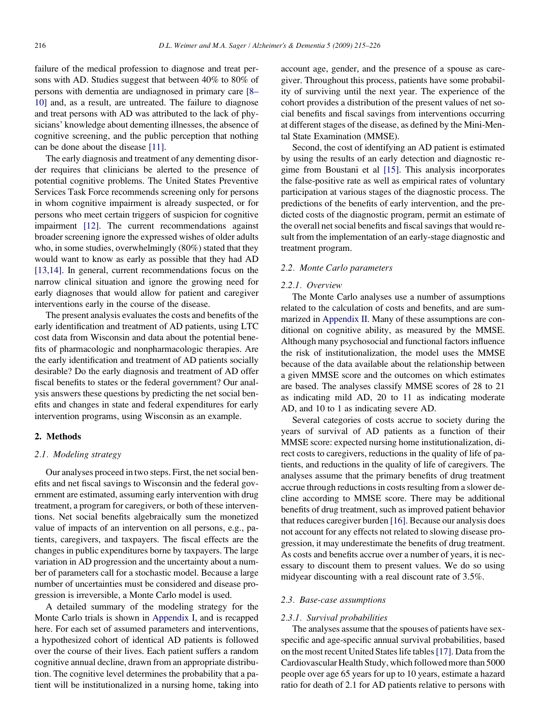failure of the medical profession to diagnose and treat persons with AD. Studies suggest that between 40% to 80% of persons with dementia are undiagnosed in primary care [\[8–](#page-8-0) [10\]](#page-8-0) and, as a result, are untreated. The failure to diagnose and treat persons with AD was attributed to the lack of physicians' knowledge about dementing illnesses, the absence of cognitive screening, and the public perception that nothing can be done about the disease [\[11\]](#page-8-0).

The early diagnosis and treatment of any dementing disorder requires that clinicians be alerted to the presence of potential cognitive problems. The United States Preventive Services Task Force recommends screening only for persons in whom cognitive impairment is already suspected, or for persons who meet certain triggers of suspicion for cognitive impairment [\[12\]](#page-8-0). The current recommendations against broader screening ignore the expressed wishes of older adults who, in some studies, overwhelmingly (80%) stated that they would want to know as early as possible that they had AD [\[13,14\].](#page-8-0) In general, current recommendations focus on the narrow clinical situation and ignore the growing need for early diagnoses that would allow for patient and caregiver interventions early in the course of the disease.

The present analysis evaluates the costs and benefits of the early identification and treatment of AD patients, using LTC cost data from Wisconsin and data about the potential benefits of pharmacologic and nonpharmacologic therapies. Are the early identification and treatment of AD patients socially desirable? Do the early diagnosis and treatment of AD offer fiscal benefits to states or the federal government? Our analysis answers these questions by predicting the net social benefits and changes in state and federal expenditures for early intervention programs, using Wisconsin as an example.

#### 2. Methods

# 2.1. Modeling strategy

Our analyses proceed in two steps. First, the net social benefits and net fiscal savings to Wisconsin and the federal government are estimated, assuming early intervention with drug treatment, a program for caregivers, or both of these interventions. Net social benefits algebraically sum the monetized value of impacts of an intervention on all persons, e.g., patients, caregivers, and taxpayers. The fiscal effects are the changes in public expenditures borne by taxpayers. The large variation in AD progression and the uncertainty about a number of parameters call for a stochastic model. Because a large number of uncertainties must be considered and disease progression is irreversible, a Monte Carlo model is used.

A detailed summary of the modeling strategy for the Monte Carlo trials is shown in Appendix I, and is recapped here. For each set of assumed parameters and interventions, a hypothesized cohort of identical AD patients is followed over the course of their lives. Each patient suffers a random cognitive annual decline, drawn from an appropriate distribution. The cognitive level determines the probability that a patient will be institutionalized in a nursing home, taking into account age, gender, and the presence of a spouse as caregiver. Throughout this process, patients have some probability of surviving until the next year. The experience of the cohort provides a distribution of the present values of net social benefits and fiscal savings from interventions occurring at different stages of the disease, as defined by the Mini-Mental State Examination (MMSE).

Second, the cost of identifying an AD patient is estimated by using the results of an early detection and diagnostic regime from Boustani et al [\[15\].](#page-8-0) This analysis incorporates the false-positive rate as well as empirical rates of voluntary participation at various stages of the diagnostic process. The predictions of the benefits of early intervention, and the predicted costs of the diagnostic program, permit an estimate of the overall net social benefits and fiscal savings that would result from the implementation of an early-stage diagnostic and treatment program.

### 2.2. Monte Carlo parameters

#### 2.2.1. Overview

The Monte Carlo analyses use a number of assumptions related to the calculation of costs and benefits, and are summarized in [Appendix II](#page-10-0). Many of these assumptions are conditional on cognitive ability, as measured by the MMSE. Although many psychosocial and functional factors influence the risk of institutionalization, the model uses the MMSE because of the data available about the relationship between a given MMSE score and the outcomes on which estimates are based. The analyses classify MMSE scores of 28 to 21 as indicating mild AD, 20 to 11 as indicating moderate AD, and 10 to 1 as indicating severe AD.

Several categories of costs accrue to society during the years of survival of AD patients as a function of their MMSE score: expected nursing home institutionalization, direct costs to caregivers, reductions in the quality of life of patients, and reductions in the quality of life of caregivers. The analyses assume that the primary benefits of drug treatment accrue through reductions in costs resulting from a slower decline according to MMSE score. There may be additional benefits of drug treatment, such as improved patient behavior that reduces caregiver burden [\[16\].](#page-8-0) Because our analysis does not account for any effects not related to slowing disease progression, it may underestimate the benefits of drug treatment. As costs and benefits accrue over a number of years, it is necessary to discount them to present values. We do so using midyear discounting with a real discount rate of 3.5%.

### 2.3. Base-case assumptions

#### 2.3.1. Survival probabilities

The analyses assume that the spouses of patients have sexspecific and age-specific annual survival probabilities, based on the most recent United States life tables[\[17\].](#page-8-0) Data from the Cardiovascular Health Study, which followed more than 5000 people over age 65 years for up to 10 years, estimate a hazard ratio for death of 2.1 for AD patients relative to persons with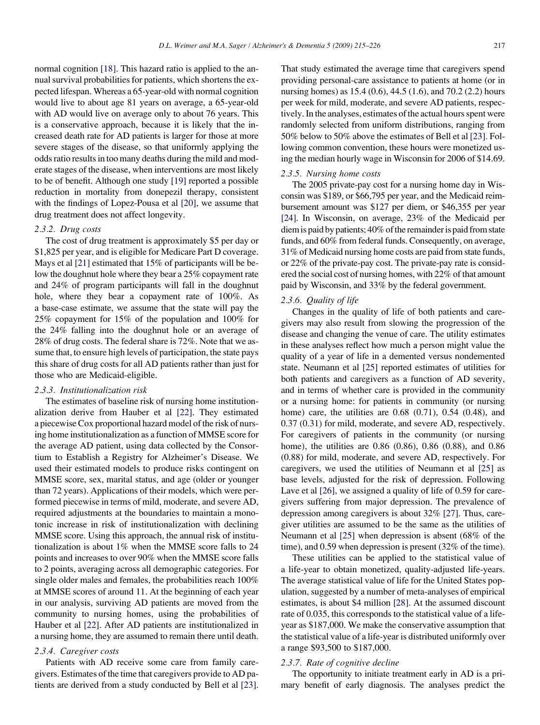normal cognition [\[18\].](#page-8-0) This hazard ratio is applied to the annual survival probabilities for patients, which shortens the expected lifespan. Whereas a 65-year-old with normal cognition would live to about age 81 years on average, a 65-year-old with AD would live on average only to about 76 years. This is a conservative approach, because it is likely that the increased death rate for AD patients is larger for those at more severe stages of the disease, so that uniformly applying the odds ratio results in too many deaths during the mild and moderate stages of the disease, when interventions are most likely to be of benefit. Although one study [\[19\]](#page-8-0) reported a possible reduction in mortality from donepezil therapy, consistent with the findings of Lopez-Pousa et al [\[20\]](#page-8-0), we assume that drug treatment does not affect longevity.

#### 2.3.2. Drug costs

The cost of drug treatment is approximately \$5 per day or \$1,825 per year, and is eligible for Medicare Part D coverage. Mays et al [\[21\]](#page-8-0) estimated that 15% of participants will be below the doughnut hole where they bear a 25% copayment rate and 24% of program participants will fall in the doughnut hole, where they bear a copayment rate of 100%. As a base-case estimate, we assume that the state will pay the 25% copayment for 15% of the population and 100% for the 24% falling into the doughnut hole or an average of 28% of drug costs. The federal share is 72%. Note that we assume that, to ensure high levels of participation, the state pays this share of drug costs for all AD patients rather than just for those who are Medicaid-eligible.

# 2.3.3. Institutionalization risk

The estimates of baseline risk of nursing home institutionalization derive from Hauber et al [\[22\]](#page-8-0). They estimated a piecewise Cox proportional hazard model of the risk of nursing home institutionalization as a function of MMSE score for the average AD patient, using data collected by the Consortium to Establish a Registry for Alzheimer's Disease. We used their estimated models to produce risks contingent on MMSE score, sex, marital status, and age (older or younger than 72 years). Applications of their models, which were performed piecewise in terms of mild, moderate, and severe AD, required adjustments at the boundaries to maintain a monotonic increase in risk of institutionalization with declining MMSE score. Using this approach, the annual risk of institutionalization is about 1% when the MMSE score falls to 24 points and increases to over 90% when the MMSE score falls to 2 points, averaging across all demographic categories. For single older males and females, the probabilities reach 100% at MMSE scores of around 11. At the beginning of each year in our analysis, surviving AD patients are moved from the community to nursing homes, using the probabilities of Hauber et al [\[22\].](#page-8-0) After AD patients are institutionalized in a nursing home, they are assumed to remain there until death.

# 2.3.4. Caregiver costs

Patients with AD receive some care from family caregivers. Estimates of the time that caregivers provide to AD patients are derived from a study conducted by Bell et al [\[23\].](#page-8-0) That study estimated the average time that caregivers spend providing personal-care assistance to patients at home (or in nursing homes) as 15.4 (0.6), 44.5 (1.6), and 70.2 (2.2) hours per week for mild, moderate, and severe AD patients, respectively. In the analyses, estimates of the actual hours spent were randomly selected from uniform distributions, ranging from 50% below to 50% above the estimates of Bell et al [\[23\]](#page-8-0). Following common convention, these hours were monetized using the median hourly wage in Wisconsin for 2006 of \$14.69.

#### 2.3.5. Nursing home costs

The 2005 private-pay cost for a nursing home day in Wisconsin was \$189, or \$66,795 per year, and the Medicaid reimbursement amount was \$127 per diem, or \$46,355 per year [\[24\].](#page-8-0) In Wisconsin, on average, 23% of the Medicaid per diem is paid by patients; 40% of the remainder is paid from state funds, and 60% from federal funds. Consequently, on average, 31% of Medicaid nursing home costs are paid from state funds, or 22% of the private-pay cost. The private-pay rate is considered the social cost of nursing homes, with 22% of that amount paid by Wisconsin, and 33% by the federal government.

#### 2.3.6. Quality of life

Changes in the quality of life of both patients and caregivers may also result from slowing the progression of the disease and changing the venue of care. The utility estimates in these analyses reflect how much a person might value the quality of a year of life in a demented versus nondemented state. Neumann et al [\[25\]](#page-8-0) reported estimates of utilities for both patients and caregivers as a function of AD severity, and in terms of whether care is provided in the community or a nursing home: for patients in community (or nursing home) care, the utilities are 0.68 (0.71), 0.54 (0.48), and 0.37 (0.31) for mild, moderate, and severe AD, respectively. For caregivers of patients in the community (or nursing home), the utilities are 0.86 (0.86), 0.86 (0.88), and 0.86 (0.88) for mild, moderate, and severe AD, respectively. For caregivers, we used the utilities of Neumann et al [\[25\]](#page-8-0) as base levels, adjusted for the risk of depression. Following Lave et al [\[26\]](#page-8-0), we assigned a quality of life of 0.59 for caregivers suffering from major depression. The prevalence of depression among caregivers is about 32% [\[27\]](#page-8-0). Thus, caregiver utilities are assumed to be the same as the utilities of Neumann et al [\[25\]](#page-8-0) when depression is absent (68% of the time), and 0.59 when depression is present (32% of the time).

These utilities can be applied to the statistical value of a life-year to obtain monetized, quality-adjusted life-years. The average statistical value of life for the United States population, suggested by a number of meta-analyses of empirical estimates, is about \$4 million [\[28\]](#page-9-0). At the assumed discount rate of 0.035, this corresponds to the statistical value of a lifeyear as \$187,000. We make the conservative assumption that the statistical value of a life-year is distributed uniformly over a range \$93,500 to \$187,000.

#### 2.3.7. Rate of cognitive decline

The opportunity to initiate treatment early in AD is a primary benefit of early diagnosis. The analyses predict the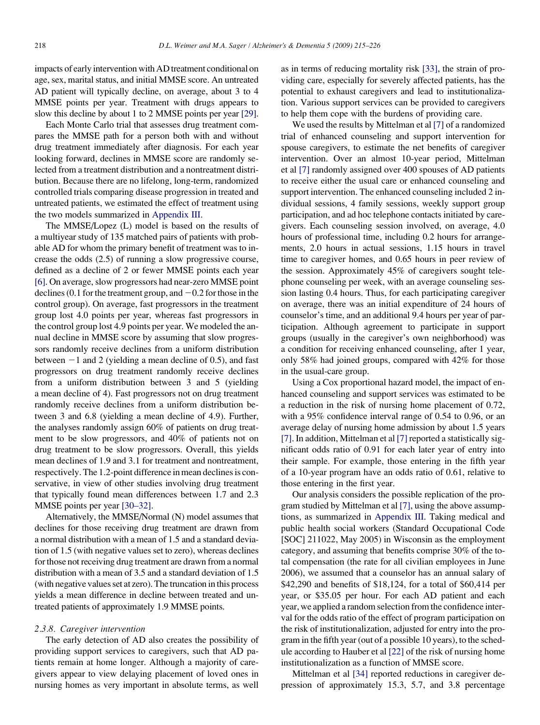impacts of early intervention with AD treatment conditional on age, sex, marital status, and initial MMSE score. An untreated AD patient will typically decline, on average, about 3 to 4 MMSE points per year. Treatment with drugs appears to slow this decline by about 1 to 2 MMSE points per year [\[29\].](#page-9-0)

Each Monte Carlo trial that assesses drug treatment compares the MMSE path for a person both with and without drug treatment immediately after diagnosis. For each year looking forward, declines in MMSE score are randomly selected from a treatment distribution and a nontreatment distribution. Because there are no lifelong, long-term, randomized controlled trials comparing disease progression in treated and untreated patients, we estimated the effect of treatment using the two models summarized in [Appendix III](#page-0-0).

The MMSE/Lopez (L) model is based on the results of a multiyear study of 135 matched pairs of patients with probable AD for whom the primary benefit of treatment was to increase the odds (2.5) of running a slow progressive course, defined as a decline of 2 or fewer MMSE points each year [\[6\]](#page-8-0). On average, slow progressors had near-zero MMSE point declines (0.1 for the treatment group, and  $-0.2$  for those in the control group). On average, fast progressors in the treatment group lost 4.0 points per year, whereas fast progressors in the control group lost 4.9 points per year. We modeled the annual decline in MMSE score by assuming that slow progressors randomly receive declines from a uniform distribution between  $-1$  and 2 (yielding a mean decline of 0.5), and fast progressors on drug treatment randomly receive declines from a uniform distribution between 3 and 5 (yielding a mean decline of 4). Fast progressors not on drug treatment randomly receive declines from a uniform distribution between 3 and 6.8 (yielding a mean decline of 4.9). Further, the analyses randomly assign 60% of patients on drug treatment to be slow progressors, and 40% of patients not on drug treatment to be slow progressors. Overall, this yields mean declines of 1.9 and 3.1 for treatment and nontreatment, respectively. The 1.2-point difference in mean declines is conservative, in view of other studies involving drug treatment that typically found mean differences between 1.7 and 2.3 MMSE points per year [\[30–32\]](#page-9-0).

Alternatively, the MMSE/Normal (N) model assumes that declines for those receiving drug treatment are drawn from a normal distribution with a mean of 1.5 and a standard deviation of 1.5 (with negative values set to zero), whereas declines for those not receiving drug treatment are drawn from a normal distribution with a mean of 3.5 and a standard deviation of 1.5 (with negative values set at zero). The truncation in this process yields a mean difference in decline between treated and untreated patients of approximately 1.9 MMSE points.

#### 2.3.8. Caregiver intervention

The early detection of AD also creates the possibility of providing support services to caregivers, such that AD patients remain at home longer. Although a majority of caregivers appear to view delaying placement of loved ones in nursing homes as very important in absolute terms, as well as in terms of reducing mortality risk [\[33\]](#page-9-0), the strain of providing care, especially for severely affected patients, has the potential to exhaust caregivers and lead to institutionalization. Various support services can be provided to caregivers to help them cope with the burdens of providing care.

We used the results by Mittelman et al [\[7\]](#page-8-0) of a randomized trial of enhanced counseling and support intervention for spouse caregivers, to estimate the net benefits of caregiver intervention. Over an almost 10-year period, Mittelman et al [\[7\]](#page-8-0) randomly assigned over 400 spouses of AD patients to receive either the usual care or enhanced counseling and support intervention. The enhanced counseling included 2 individual sessions, 4 family sessions, weekly support group participation, and ad hoc telephone contacts initiated by caregivers. Each counseling session involved, on average, 4.0 hours of professional time, including 0.2 hours for arrangements, 2.0 hours in actual sessions, 1.15 hours in travel time to caregiver homes, and 0.65 hours in peer review of the session. Approximately 45% of caregivers sought telephone counseling per week, with an average counseling session lasting 0.4 hours. Thus, for each participating caregiver on average, there was an initial expenditure of 24 hours of counselor's time, and an additional 9.4 hours per year of participation. Although agreement to participate in support groups (usually in the caregiver's own neighborhood) was a condition for receiving enhanced counseling, after 1 year, only 58% had joined groups, compared with 42% for those in the usual-care group.

Using a Cox proportional hazard model, the impact of enhanced counseling and support services was estimated to be a reduction in the risk of nursing home placement of 0.72, with a 95% confidence interval range of 0.54 to 0.96, or an average delay of nursing home admission by about 1.5 years [\[7\]](#page-8-0). In addition, Mittelman et al [\[7\]](#page-8-0) reported a statistically significant odds ratio of 0.91 for each later year of entry into their sample. For example, those entering in the fifth year of a 10-year program have an odds ratio of 0.61, relative to those entering in the first year.

Our analysis considers the possible replication of the program studied by Mittelman et al [\[7\],](#page-8-0) using the above assumptions, as summarized in [Appendix III](#page-0-0). Taking medical and public health social workers (Standard Occupational Code [SOC] 211022, May 2005) in Wisconsin as the employment category, and assuming that benefits comprise 30% of the total compensation (the rate for all civilian employees in June 2006), we assumed that a counselor has an annual salary of \$42,290 and benefits of \$18,124, for a total of \$60,414 per year, or \$35.05 per hour. For each AD patient and each year, we applied a random selection from the confidence interval for the odds ratio of the effect of program participation on the risk of institutionalization, adjusted for entry into the program in the fifth year (out of a possible 10 years), to the schedule according to Hauber et al [\[22\]](#page-8-0) of the risk of nursing home institutionalization as a function of MMSE score.

Mittelman et al [\[34\]](#page-9-0) reported reductions in caregiver depression of approximately 15.3, 5.7, and 3.8 percentage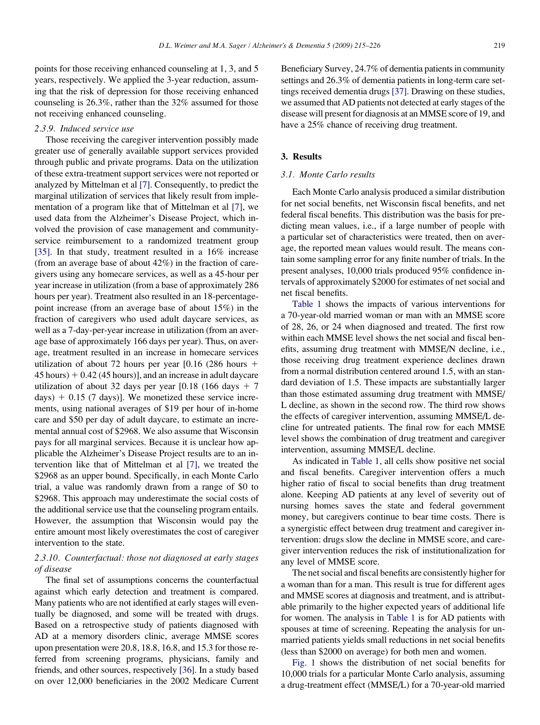points for those receiving enhanced counseling at 1, 3, and 5 years, respectively. We applied the 3-year reduction, assuming that the risk of depression for those receiving enhanced counseling is 26.3%, rather than the 32% assumed for those not receiving enhanced counseling.

#### 2.3.9. Induced service use

Those receiving the caregiver intervention possibly made greater use of generally available support services provided through public and private programs. Data on the utilization of these extra-treatment support services were not reported or analyzed by Mittelman et al [\[7\]](#page-8-0). Consequently, to predict the marginal utilization of services that likely result from implementation of a program like that of Mittelman et al [\[7\],](#page-8-0) we used data from the Alzheimer's Disease Project, which involved the provision of case management and communityservice reimbursement to a randomized treatment group [\[35\]](#page-9-0). In that study, treatment resulted in a 16% increase (from an average base of about 42%) in the fraction of caregivers using any homecare services, as well as a 45-hour per year increase in utilization (from a base of approximately 286 hours per year). Treatment also resulted in an 18-percentagepoint increase (from an average base of about 15%) in the fraction of caregivers who used adult daycare services, as well as a 7-day-per-year increase in utilization (from an average base of approximately 166 days per year). Thus, on average, treatment resulted in an increase in homecare services utilization of about 72 hours per year  $[0.16 (286)$  hours  $+$  $45$  hours)  $+ 0.42$  (45 hours)], and an increase in adult daycare utilization of about 32 days per year [0.18 (166 days  $+ 7$ days)  $+$  0.15 (7 days)]. We monetized these service increments, using national averages of \$19 per hour of in-home care and \$50 per day of adult daycare, to estimate an incremental annual cost of \$2968. We also assume that Wisconsin pays for all marginal services. Because it is unclear how applicable the Alzheimer's Disease Project results are to an intervention like that of Mittelman et al [\[7\],](#page-8-0) we treated the \$2968 as an upper bound. Specifically, in each Monte Carlo trial, a value was randomly drawn from a range of \$0 to \$2968. This approach may underestimate the social costs of the additional service use that the counseling program entails. However, the assumption that Wisconsin would pay the entire amount most likely overestimates the cost of caregiver intervention to the state.

# 2.3.10. Counterfactual: those not diagnosed at early stages of disease

The final set of assumptions concerns the counterfactual against which early detection and treatment is compared. Many patients who are not identified at early stages will eventually be diagnosed, and some will be treated with drugs. Based on a retrospective study of patients diagnosed with AD at a memory disorders clinic, average MMSE scores upon presentation were 20.8, 18.8, 16.8, and 15.3 for those referred from screening programs, physicians, family and friends, and other sources, respectively [\[36\].](#page-9-0) In a study based on over 12,000 beneficiaries in the 2002 Medicare Current

Beneficiary Survey, 24.7% of dementia patients in community settings and 26.3% of dementia patients in long-term care settings received dementia drugs [\[37\]](#page-9-0). Drawing on these studies, we assumed that AD patients not detected at early stages of the disease will present for diagnosis at an MMSE score of 19, and have a 25% chance of receiving drug treatment.

# 3. Results

# 3.1. Monte Carlo results

Each Monte Carlo analysis produced a similar distribution for net social benefits, net Wisconsin fiscal benefits, and net federal fiscal benefits. This distribution was the basis for predicting mean values, i.e., if a large number of people with a particular set of characteristics were treated, then on average, the reported mean values would result. The means contain some sampling error for any finite number of trials. In the present analyses, 10,000 trials produced 95% confidence intervals of approximately \$2000 for estimates of net social and net fiscal benefits.

[Table 1](#page-5-0) shows the impacts of various interventions for a 70-year-old married woman or man with an MMSE score of 28, 26, or 24 when diagnosed and treated. The first row within each MMSE level shows the net social and fiscal benefits, assuming drug treatment with MMSE/N decline, i.e., those receiving drug treatment experience declines drawn from a normal distribution centered around 1.5, with an standard deviation of 1.5. These impacts are substantially larger than those estimated assuming drug treatment with MMSE/ L decline, as shown in the second row. The third row shows the effects of caregiver intervention, assuming MMSE/L decline for untreated patients. The final row for each MMSE level shows the combination of drug treatment and caregiver intervention, assuming MMSE/L decline.

As indicated in [Table 1](#page-5-0), all cells show positive net social and fiscal benefits. Caregiver intervention offers a much higher ratio of fiscal to social benefits than drug treatment alone. Keeping AD patients at any level of severity out of nursing homes saves the state and federal government money, but caregivers continue to bear time costs. There is a synergistic effect between drug treatment and caregiver intervention: drugs slow the decline in MMSE score, and caregiver intervention reduces the risk of institutionalization for any level of MMSE score.

The net social and fiscal benefits are consistently higher for a woman than for a man. This result is true for different ages and MMSE scores at diagnosis and treatment, and is attributable primarily to the higher expected years of additional life for women. The analysis in [Table 1](#page-5-0) is for AD patients with spouses at time of screening. Repeating the analysis for unmarried patients yields small reductions in net social benefits (less than \$2000 on average) for both men and women.

[Fig. 1](#page-5-0) shows the distribution of net social benefits for 10,000 trials for a particular Monte Carlo analysis, assuming a drug-treatment effect (MMSE/L) for a 70-year-old married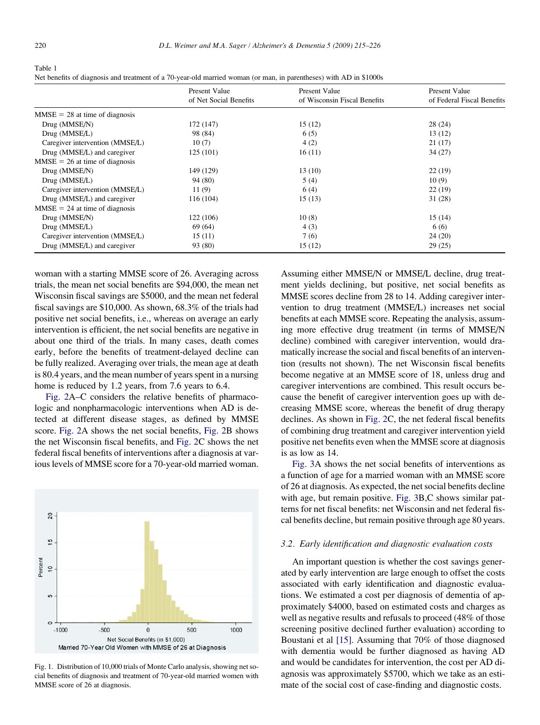<span id="page-5-0"></span>

| Table 1                                                                                                            |  |
|--------------------------------------------------------------------------------------------------------------------|--|
| Net benefits of diagnosis and treatment of a 70-year-old married woman (or man, in parentheses) with AD in \$1000s |  |

|                                  | <b>Present Value</b><br>of Net Social Benefits | Present Value<br>of Wisconsin Fiscal Benefits | Present Value<br>of Federal Fiscal Benefits |  |
|----------------------------------|------------------------------------------------|-----------------------------------------------|---------------------------------------------|--|
|                                  |                                                |                                               |                                             |  |
| $MMSE = 28$ at time of diagnosis |                                                |                                               |                                             |  |
| Drug (MMSE/N)                    | 172 (147)                                      | 15(12)                                        | 28(24)                                      |  |
| Drug (MMSE/L)                    | 98 (84)                                        | 6(5)                                          | 13(12)                                      |  |
| Caregiver intervention (MMSE/L)  | 10(7)                                          | 4(2)                                          | 21(17)                                      |  |
| Drug (MMSE/L) and caregiver      | 125(101)                                       | 16(11)                                        | 34(27)                                      |  |
| $MMSE = 26$ at time of diagnosis |                                                |                                               |                                             |  |
| Drug (MMSE/N)                    | 149 (129)                                      | 13(10)                                        | 22(19)                                      |  |
| Drug (MMSE/L)                    | 94 (80)                                        | 5(4)                                          | 10(9)                                       |  |
| Caregiver intervention (MMSE/L)  | 11(9)                                          | 6(4)                                          | 22(19)                                      |  |
| Drug (MMSE/L) and caregiver      | 116 (104)                                      | 15(13)                                        | 31 (28)                                     |  |
| $MMSE = 24$ at time of diagnosis |                                                |                                               |                                             |  |
| Drug (MMSE/N)                    | 122 (106)                                      | 10(8)                                         | 15(14)                                      |  |
| Drug (MMSE/L)                    | 69 (64)                                        | 4(3)                                          | 6(6)                                        |  |
| Caregiver intervention (MMSE/L)  | 15(11)                                         | 7(6)                                          | 24(20)                                      |  |
| Drug (MMSE/L) and caregiver      | 93 (80)                                        | 15(12)                                        | 29(25)                                      |  |

woman with a starting MMSE score of 26. Averaging across trials, the mean net social benefits are \$94,000, the mean net Wisconsin fiscal savings are \$5000, and the mean net federal fiscal savings are \$10,000. As shown, 68.3% of the trials had positive net social benefits, i.e., whereas on average an early intervention is efficient, the net social benefits are negative in about one third of the trials. In many cases, death comes early, before the benefits of treatment-delayed decline can be fully realized. Averaging over trials, the mean age at death is 80.4 years, and the mean number of years spent in a nursing home is reduced by 1.2 years, from 7.6 years to 6.4.

[Fig. 2A](#page-6-0)–C considers the relative benefits of pharmacologic and nonpharmacologic interventions when AD is detected at different disease stages, as defined by MMSE score. [Fig. 2](#page-6-0)A shows the net social benefits, [Fig. 2](#page-6-0)B shows the net Wisconsin fiscal benefits, and [Fig. 2C](#page-6-0) shows the net federal fiscal benefits of interventions after a diagnosis at various levels of MMSE score for a 70-year-old married woman.



Fig. 1. Distribution of 10,000 trials of Monte Carlo analysis, showing net social benefits of diagnosis and treatment of 70-year-old married women with MMSE score of 26 at diagnosis.

Assuming either MMSE/N or MMSE/L decline, drug treatment yields declining, but positive, net social benefits as MMSE scores decline from 28 to 14. Adding caregiver intervention to drug treatment (MMSE/L) increases net social benefits at each MMSE score. Repeating the analysis, assuming more effective drug treatment (in terms of MMSE/N decline) combined with caregiver intervention, would dramatically increase the social and fiscal benefits of an intervention (results not shown). The net Wisconsin fiscal benefits become negative at an MMSE score of 18, unless drug and caregiver interventions are combined. This result occurs because the benefit of caregiver intervention goes up with decreasing MMSE score, whereas the benefit of drug therapy declines. As shown in [Fig. 2C](#page-6-0), the net federal fiscal benefits of combining drug treatment and caregiver intervention yield positive net benefits even when the MMSE score at diagnosis is as low as 14.

[Fig. 3A](#page-7-0) shows the net social benefits of interventions as a function of age for a married woman with an MMSE score of 26 at diagnosis. As expected, the net social benefits decline with age, but remain positive. [Fig. 3B](#page-7-0),C shows similar patterns for net fiscal benefits: net Wisconsin and net federal fiscal benefits decline, but remain positive through age 80 years.

#### 3.2. Early identification and diagnostic evaluation costs

An important question is whether the cost savings generated by early intervention are large enough to offset the costs associated with early identification and diagnostic evaluations. We estimated a cost per diagnosis of dementia of approximately \$4000, based on estimated costs and charges as well as negative results and refusals to proceed (48% of those screening positive declined further evaluation) according to Boustani et al [\[15\]](#page-8-0). Assuming that 70% of those diagnosed with dementia would be further diagnosed as having AD and would be candidates for intervention, the cost per AD diagnosis was approximately \$5700, which we take as an estimate of the social cost of case-finding and diagnostic costs.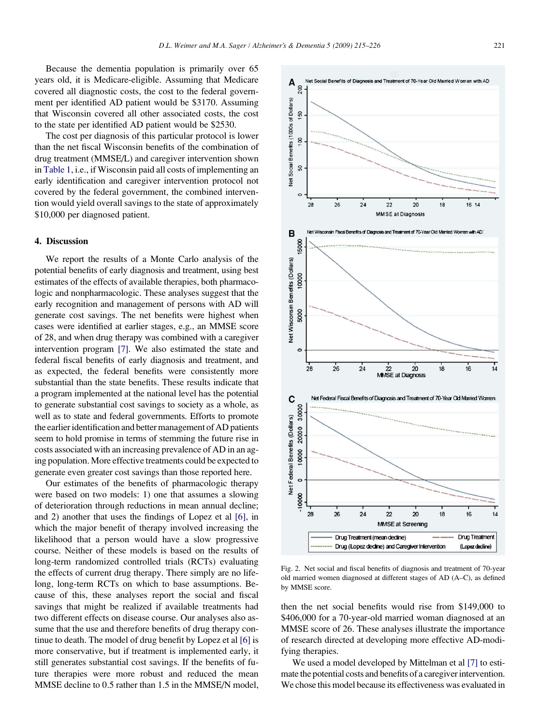<span id="page-6-0"></span>Because the dementia population is primarily over 65 years old, it is Medicare-eligible. Assuming that Medicare covered all diagnostic costs, the cost to the federal government per identified AD patient would be \$3170. Assuming that Wisconsin covered all other associated costs, the cost to the state per identified AD patient would be \$2530.

The cost per diagnosis of this particular protocol is lower than the net fiscal Wisconsin benefits of the combination of drug treatment (MMSE/L) and caregiver intervention shown in [Table 1,](#page-5-0) i.e., if Wisconsin paid all costs of implementing an early identification and caregiver intervention protocol not covered by the federal government, the combined intervention would yield overall savings to the state of approximately \$10,000 per diagnosed patient.

## 4. Discussion

We report the results of a Monte Carlo analysis of the potential benefits of early diagnosis and treatment, using best estimates of the effects of available therapies, both pharmacologic and nonpharmacologic. These analyses suggest that the early recognition and management of persons with AD will generate cost savings. The net benefits were highest when cases were identified at earlier stages, e.g., an MMSE score of 28, and when drug therapy was combined with a caregiver intervention program [\[7\]](#page-8-0). We also estimated the state and federal fiscal benefits of early diagnosis and treatment, and as expected, the federal benefits were consistently more substantial than the state benefits. These results indicate that a program implemented at the national level has the potential to generate substantial cost savings to society as a whole, as well as to state and federal governments. Efforts to promote the earlier identification and better management of AD patients seem to hold promise in terms of stemming the future rise in costs associated with an increasing prevalence of AD in an aging population. More effective treatments could be expected to generate even greater cost savings than those reported here.

Our estimates of the benefits of pharmacologic therapy were based on two models: 1) one that assumes a slowing of deterioration through reductions in mean annual decline; and 2) another that uses the findings of Lopez et al [\[6\]](#page-8-0), in which the major benefit of therapy involved increasing the likelihood that a person would have a slow progressive course. Neither of these models is based on the results of long-term randomized controlled trials (RCTs) evaluating the effects of current drug therapy. There simply are no lifelong, long-term RCTs on which to base assumptions. Because of this, these analyses report the social and fiscal savings that might be realized if available treatments had two different effects on disease course. Our analyses also assume that the use and therefore benefits of drug therapy continue to death. The model of drug benefit by Lopez et al [\[6\]](#page-8-0) is more conservative, but if treatment is implemented early, it still generates substantial cost savings. If the benefits of future therapies were more robust and reduced the mean MMSE decline to 0.5 rather than 1.5 in the MMSE/N model,



Fig. 2. Net social and fiscal benefits of diagnosis and treatment of 70-year old married women diagnosed at different stages of AD (A–C), as defined by MMSE score.

then the net social benefits would rise from \$149,000 to \$406,000 for a 70-year-old married woman diagnosed at an MMSE score of 26. These analyses illustrate the importance of research directed at developing more effective AD-modifying therapies.

We used a model developed by Mittelman et al [\[7\]](#page-8-0) to estimate the potential costs and benefits of a caregiver intervention. We chose this model because its effectiveness was evaluated in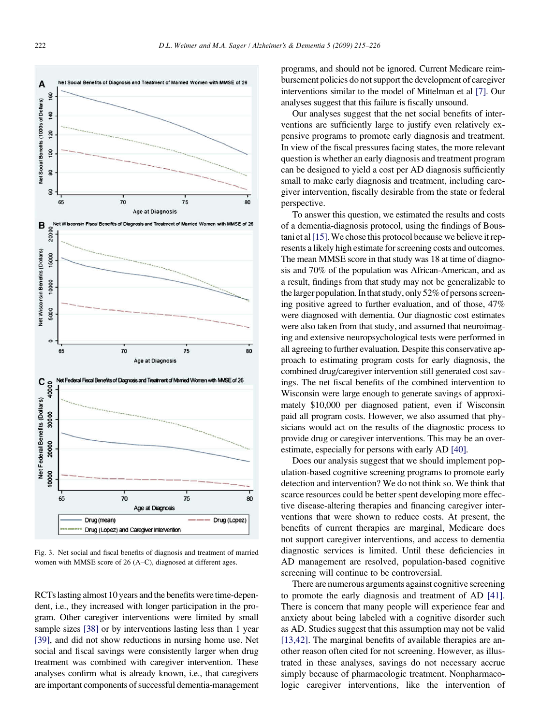<span id="page-7-0"></span>

Fig. 3. Net social and fiscal benefits of diagnosis and treatment of married women with MMSE score of 26 (A–C), diagnosed at different ages.

RCTs lasting almost 10 years and the benefits were time-dependent, i.e., they increased with longer participation in the program. Other caregiver interventions were limited by small sample sizes [\[38\]](#page-9-0) or by interventions lasting less than 1 year [\[39\],](#page-9-0) and did not show reductions in nursing home use. Net social and fiscal savings were consistently larger when drug treatment was combined with caregiver intervention. These analyses confirm what is already known, i.e., that caregivers are important components of successful dementia-management programs, and should not be ignored. Current Medicare reimbursement policies do not support the development of caregiver interventions similar to the model of Mittelman et al [\[7\].](#page-8-0) Our analyses suggest that this failure is fiscally unsound.

Our analyses suggest that the net social benefits of interventions are sufficiently large to justify even relatively expensive programs to promote early diagnosis and treatment. In view of the fiscal pressures facing states, the more relevant question is whether an early diagnosis and treatment program can be designed to yield a cost per AD diagnosis sufficiently small to make early diagnosis and treatment, including caregiver intervention, fiscally desirable from the state or federal perspective.

To answer this question, we estimated the results and costs of a dementia-diagnosis protocol, using the findings of Bous-tani et al [\[15\]](#page-8-0). We chose this protocol because we believe it represents a likely high estimate for screening costs and outcomes. The mean MMSE score in that study was 18 at time of diagnosis and 70% of the population was African-American, and as a result, findings from that study may not be generalizable to the larger population. In that study, only 52% of persons screening positive agreed to further evaluation, and of those, 47% were diagnosed with dementia. Our diagnostic cost estimates were also taken from that study, and assumed that neuroimaging and extensive neuropsychological tests were performed in all agreeing to further evaluation. Despite this conservative approach to estimating program costs for early diagnosis, the combined drug/caregiver intervention still generated cost savings. The net fiscal benefits of the combined intervention to Wisconsin were large enough to generate savings of approximately \$10,000 per diagnosed patient, even if Wisconsin paid all program costs. However, we also assumed that physicians would act on the results of the diagnostic process to provide drug or caregiver interventions. This may be an overestimate, especially for persons with early AD [\[40\]](#page-9-0).

Does our analysis suggest that we should implement population-based cognitive screening programs to promote early detection and intervention? We do not think so. We think that scarce resources could be better spent developing more effective disease-altering therapies and financing caregiver interventions that were shown to reduce costs. At present, the benefits of current therapies are marginal, Medicare does not support caregiver interventions, and access to dementia diagnostic services is limited. Until these deficiencies in AD management are resolved, population-based cognitive screening will continue to be controversial.

There are numerous arguments against cognitive screening to promote the early diagnosis and treatment of AD [\[41\].](#page-9-0) There is concern that many people will experience fear and anxiety about being labeled with a cognitive disorder such as AD. Studies suggest that this assumption may not be valid [\[13,42\].](#page-8-0) The marginal benefits of available therapies are another reason often cited for not screening. However, as illustrated in these analyses, savings do not necessary accrue simply because of pharmacologic treatment. Nonpharmacologic caregiver interventions, like the intervention of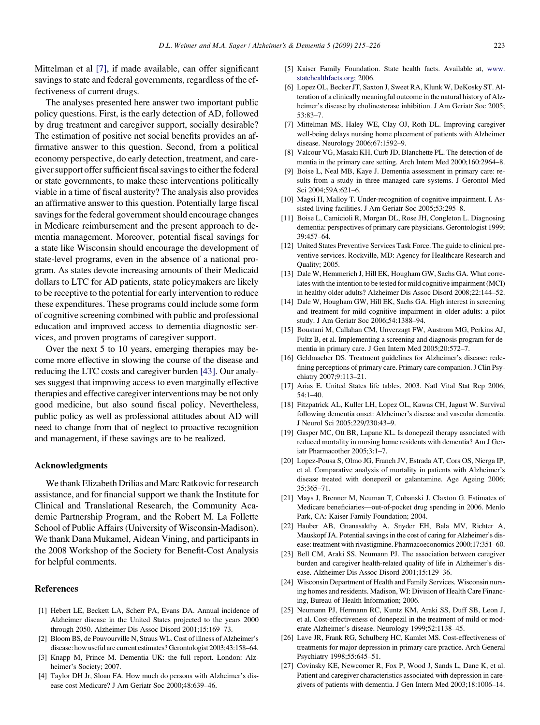<span id="page-8-0"></span>Mittelman et al [7], if made available, can offer significant savings to state and federal governments, regardless of the effectiveness of current drugs.

The analyses presented here answer two important public policy questions. First, is the early detection of AD, followed by drug treatment and caregiver support, socially desirable? The estimation of positive net social benefits provides an affirmative answer to this question. Second, from a political economy perspective, do early detection, treatment, and caregiver support offer sufficient fiscal savings to either the federal or state governments, to make these interventions politically viable in a time of fiscal austerity? The analysis also provides an affirmative answer to this question. Potentially large fiscal savings for the federal government should encourage changes in Medicare reimbursement and the present approach to dementia management. Moreover, potential fiscal savings for a state like Wisconsin should encourage the development of state-level programs, even in the absence of a national program. As states devote increasing amounts of their Medicaid dollars to LTC for AD patients, state policymakers are likely to be receptive to the potential for early intervention to reduce these expenditures. These programs could include some form of cognitive screening combined with public and professional education and improved access to dementia diagnostic services, and proven programs of caregiver support.

Over the next 5 to 10 years, emerging therapies may become more effective in slowing the course of the disease and reducing the LTC costs and caregiver burden [\[43\].](#page-9-0) Our analyses suggest that improving access to even marginally effective therapies and effective caregiver interventions may be not only good medicine, but also sound fiscal policy. Nevertheless, public policy as well as professional attitudes about AD will need to change from that of neglect to proactive recognition and management, if these savings are to be realized.

# Acknowledgments

We thank Elizabeth Drilias and Marc Ratkovic for research assistance, and for financial support we thank the Institute for Clinical and Translational Research, the Community Academic Partnership Program, and the Robert M. La Follette School of Public Affairs (University of Wisconsin-Madison). We thank Dana Mukamel, Aidean Vining, and participants in the 2008 Workshop of the Society for Benefit-Cost Analysis for helpful comments.

# **References**

- [1] Hebert LE, Beckett LA, Scherr PA, Evans DA. Annual incidence of Alzheimer disease in the United States projected to the years 2000 through 2050. Alzheimer Dis Assoc Disord 2001;15:169–73.
- [2] Bloom BS, de Pouvourville N, Straus WL. Cost of illness of Alzheimer's disease: how useful are current estimates? Gerontologist 2003;43:158–64.
- [3] Knapp M, Prince M. Dementia UK: the full report. London: Alzheimer's Society; 2007.
- [4] Taylor DH Jr, Sloan FA. How much do persons with Alzheimer's disease cost Medicare? J Am Geriatr Soc 2000;48:639–46.
- [5] Kaiser Family Foundation. State health facts. Available at, [www.](http://www.statehealthfacts.org) [statehealthfacts.org;](http://www.statehealthfacts.org) 2006.
- [6] Lopez OL, Becker JT, Saxton J, Sweet RA, Klunk W, DeKosky ST. Alteration of a clinically meaningful outcome in the natural history of Alzheimer's disease by cholinesterase inhibition. J Am Geriatr Soc 2005; 53:83–7.
- [7] Mittelman MS, Haley WE, Clay OJ, Roth DL. Improving caregiver well-being delays nursing home placement of patients with Alzheimer disease. Neurology 2006;67:1592–9.
- [8] Valcour VG, Masaki KH, Curb JD, Blanchette PL. The detection of dementia in the primary care setting. Arch Intern Med 2000;160:2964–8.
- [9] Boise L, Neal MB, Kaye J. Dementia assessment in primary care: results from a study in three managed care systems. J Gerontol Med Sci 2004;59A:621–6.
- [10] Magsi H, Malloy T. Under-recognition of cognitive impairment. I. Assisted living facilities. J Am Geriatr Soc 2005;53:295–8.
- [11] Boise L, Camicioli R, Morgan DL, Rose JH, Congleton L. Diagnosing dementia: perspectives of primary care physicians. Gerontologist 1999; 39:457–64.
- [12] United States Preventive Services Task Force. The guide to clinical preventive services. Rockville, MD: Agency for Healthcare Research and Quality; 2005.
- [13] Dale W, Hemmerich J, Hill EK, Hougham GW, Sachs GA. What correlates with the intention to be tested for mild cognitive impairment (MCI) in healthy older adults? Alzheimer Dis Assoc Disord 2008;22:144–52.
- [14] Dale W, Hougham GW, Hill EK, Sachs GA. High interest in screening and treatment for mild cognitive impairment in older adults: a pilot study. J Am Geriatr Soc 2006;54:1388–94.
- [15] Boustani M, Callahan CM, Unverzagt FW, Austrom MG, Perkins AJ, Fultz B, et al. Implementing a screening and diagnosis program for dementia in primary care. J Gen Intern Med 2005;20:572–7.
- [16] Geldmacher DS. Treatment guidelines for Alzheimer's disease: redefining perceptions of primary care. Primary care companion. J Clin Psychiatry 2007;9:113–21.
- [17] Arias E. United States life tables, 2003. Natl Vital Stat Rep 2006; 54:1–40.
- [18] Fitzpatrick AL, Kuller LH, Lopez OL, Kawas CH, Jagust W. Survival following dementia onset: Alzheimer's disease and vascular dementia. J Neurol Sci 2005;229/230:43–9.
- [19] Gasper MC, Ott BR, Lapane KL. Is donepezil therapy associated with reduced mortality in nursing home residents with dementia? Am J Geriatr Pharmacother 2005;3:1–7.
- [20] Lopez-Pousa S, Olmo JG, Franch JV, Estrada AT, Cors OS, Nierga IP, et al. Comparative analysis of mortality in patients with Alzheimer's disease treated with donepezil or galantamine. Age Ageing 2006; 35:365–71.
- [21] Mays J, Brenner M, Neuman T, Cubanski J, Claxton G. Estimates of Medicare beneficiaries—out-of-pocket drug spending in 2006. Menlo Park, CA: Kaiser Family Foundation; 2004.
- [22] Hauber AB, Gnanasakthy A, Snyder EH, Bala MV, Richter A, Mauskopf JA. Potential savings in the cost of caring for Alzheimer's disease: treatment with rivastigmine. Pharmacoeconomics 2000;17:351–60.
- [23] Bell CM, Araki SS, Neumann PJ. The association between caregiver burden and caregiver health-related quality of life in Alzheimer's disease. Alzheimer Dis Assoc Disord 2001;15:129–36.
- [24] Wisconsin Department of Health and Family Services. Wisconsin nursing homes and residents. Madison, WI: Division of Health Care Financing, Bureau of Health Information; 2006.
- [25] Neumann PJ, Hermann RC, Kuntz KM, Araki SS, Duff SB, Leon J, et al. Cost-effectiveness of donepezil in the treatment of mild or moderate Alzheimer's disease. Neurology 1999;52:1138–45.
- [26] Lave JR, Frank RG, Schulberg HC, Kamlet MS. Cost-effectiveness of treatments for major depression in primary care practice. Arch General Psychiatry 1998;55:645–51.
- [27] Covinsky KE, Newcomer R, Fox P, Wood J, Sands L, Dane K, et al. Patient and caregiver characteristics associated with depression in caregivers of patients with dementia. J Gen Intern Med 2003;18:1006–14.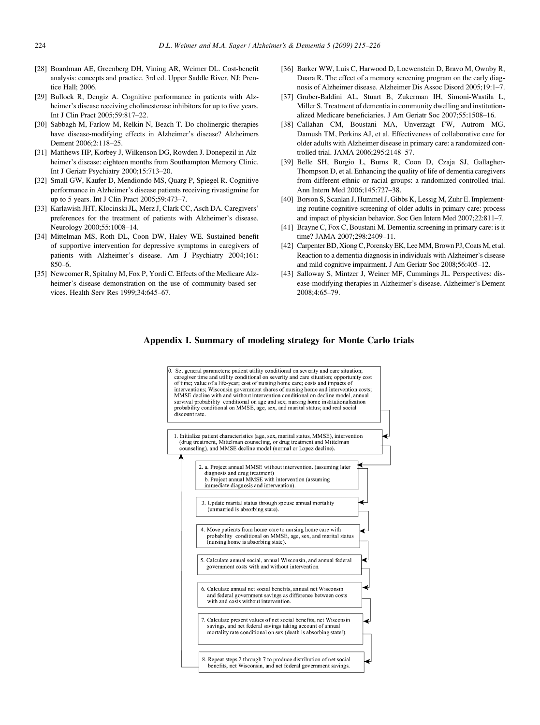- <span id="page-9-0"></span>[28] Boardman AE, Greenberg DH, Vining AR, Weimer DL. Cost-benefit analysis: concepts and practice. 3rd ed. Upper Saddle River, NJ: Prentice Hall; 2006.
- [29] Bullock R, Dengiz A. Cognitive performance in patients with Alzheimer's disease receiving cholinesterase inhibitors for up to five years. Int J Clin Pract 2005;59:817–22.
- [30] Sabbagh M, Farlow M, Relkin N, Beach T. Do cholinergic therapies have disease-modifying effects in Alzheimer's disease? Alzheimers Dement 2006;2:118–25.
- [31] Matthews HP, Korbey J, Wilkenson DG, Rowden J. Donepezil in Alzheimer's disease: eighteen months from Southampton Memory Clinic. Int J Geriatr Psychiatry 2000;15:713–20.
- [32] Small GW, Kaufer D, Mendiondo MS, Quarg P, Spiegel R. Cognitive performance in Alzheimer's disease patients receiving rivastigmine for up to 5 years. Int J Clin Pract 2005;59:473–7.
- [33] Karlawish JHT, Klocinski JL, Merz J, Clark CC, Asch DA. Caregivers' preferences for the treatment of patients with Alzheimer's disease. Neurology 2000;55:1008–14.
- [34] Mittelman MS, Roth DL, Coon DW, Haley WE. Sustained benefit of supportive intervention for depressive symptoms in caregivers of patients with Alzheimer's disease. Am J Psychiatry 2004;161: 850–6.
- [35] Newcomer R, Spitalny M, Fox P, Yordi C. Effects of the Medicare Alzheimer's disease demonstration on the use of community-based services. Health Serv Res 1999;34:645–67.
- [36] Barker WW, Luis C, Harwood D, Loewenstein D, Bravo M, Ownby R, Duara R. The effect of a memory screening program on the early diagnosis of Alzheimer disease. Alzheimer Dis Assoc Disord 2005;19:1–7.
- [37] Gruber-Baldini AL, Stuart B, Zukerman IH, Simoni-Wastila L, Miller S. Treatment of dementia in community dwelling and institutionalized Medicare beneficiaries. J Am Geriatr Soc 2007;55:1508–16.
- [38] Callahan CM, Boustani MA, Unverzagt FW, Autrom MG, Damush TM, Perkins AJ, et al. Effectiveness of collaborative care for older adults with Alzheimer disease in primary care: a randomized controlled trial. JAMA 2006;295:2148–57.
- [39] Belle SH, Burgio L, Burns R, Coon D, Czaja SJ, Gallagher-Thompson D, et al. Enhancing the quality of life of dementia caregivers from different ethnic or racial groups: a randomized controlled trial. Ann Intern Med 2006;145:727–38.
- [40] Borson S, Scanlan J, Hummel J, Gibbs K, Lessig M, Zuhr E. Implementing routine cognitive screening of older adults in primary care: process and impact of physician behavior. Soc Gen Intern Med 2007;22:811–7.
- [41] Brayne C, Fox C, Boustani M. Dementia screening in primary care: is it time? JAMA 2007;298:2409–11.
- [42] Carpenter BD, Xiong C, Porensky EK, Lee MM, Brown PJ, Coats M, et al. Reaction to a dementia diagnosis in individuals with Alzheimer's disease and mild cognitive impairment. J Am Geriatr Soc 2008;56:405–12.
- [43] Salloway S, Mintzer J, Weiner MF, Cummings JL. Perspectives: disease-modifying therapies in Alzheimer's disease. Alzheimer's Dement 2008;4:65–79.

# Appendix I. Summary of modeling strategy for Monte Carlo trials

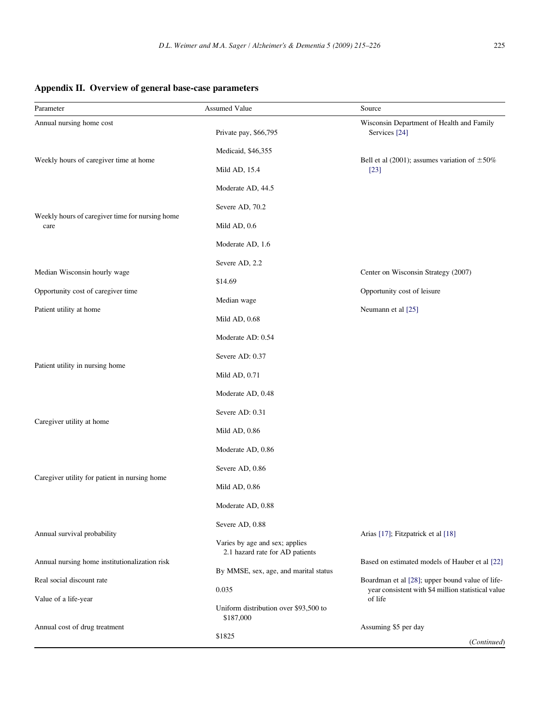# <span id="page-10-0"></span>Appendix II. Overview of general base-case parameters

| Parameter                                                     | <b>Assumed Value</b>                                              | Source                                                                                                |  |
|---------------------------------------------------------------|-------------------------------------------------------------------|-------------------------------------------------------------------------------------------------------|--|
| Annual nursing home cost                                      | Private pay, \$66,795                                             | Wisconsin Department of Health and Family<br>Services [24]                                            |  |
|                                                               | Medicaid, \$46,355                                                |                                                                                                       |  |
| Weekly hours of caregiver time at home                        | Mild AD, 15.4                                                     | Bell et al (2001); assumes variation of $\pm 50\%$<br>$[23]$                                          |  |
|                                                               | Moderate AD, 44.5                                                 |                                                                                                       |  |
|                                                               | Severe AD, 70.2                                                   |                                                                                                       |  |
| Weekly hours of caregiver time for nursing home<br>care       | Mild AD, 0.6                                                      |                                                                                                       |  |
|                                                               | Moderate AD, 1.6                                                  |                                                                                                       |  |
|                                                               | Severe AD, 2.2                                                    |                                                                                                       |  |
| Median Wisconsin hourly wage                                  | \$14.69                                                           | Center on Wisconsin Strategy (2007)                                                                   |  |
| Opportunity cost of caregiver time<br>Patient utility at home | Median wage                                                       | Opportunity cost of leisure                                                                           |  |
|                                                               | Mild AD, $0.68$                                                   | Neumann et al [25]                                                                                    |  |
|                                                               | Moderate AD: 0.54                                                 |                                                                                                       |  |
|                                                               | Severe AD: 0.37                                                   |                                                                                                       |  |
| Patient utility in nursing home                               | Mild AD, $0.71$                                                   |                                                                                                       |  |
|                                                               | Moderate AD, 0.48                                                 |                                                                                                       |  |
| Caregiver utility at home                                     | Severe AD: 0.31                                                   |                                                                                                       |  |
|                                                               | Mild AD, 0.86                                                     |                                                                                                       |  |
|                                                               | Moderate AD, 0.86                                                 |                                                                                                       |  |
| Caregiver utility for patient in nursing home                 | Severe AD, 0.86                                                   |                                                                                                       |  |
|                                                               | Mild AD, $0.86$                                                   |                                                                                                       |  |
|                                                               | Moderate AD, 0.88                                                 |                                                                                                       |  |
| Annual survival probability                                   | Severe AD, 0.88                                                   | Arias [17]; Fitzpatrick et al [18]                                                                    |  |
|                                                               | Varies by age and sex; applies<br>2.1 hazard rate for AD patients |                                                                                                       |  |
| Annual nursing home institutionalization risk                 |                                                                   | Based on estimated models of Hauber et al [22]                                                        |  |
| Real social discount rate                                     | By MMSE, sex, age, and marital status<br>0.035                    | Boardman et al [28]; upper bound value of life-<br>year consistent with \$4 million statistical value |  |
| Value of a life-year                                          | Uniform distribution over \$93,500 to                             | of life                                                                                               |  |
|                                                               | \$187,000                                                         |                                                                                                       |  |
| Annual cost of drug treatment                                 | \$1825                                                            | Assuming \$5 per day<br>(Continued)                                                                   |  |